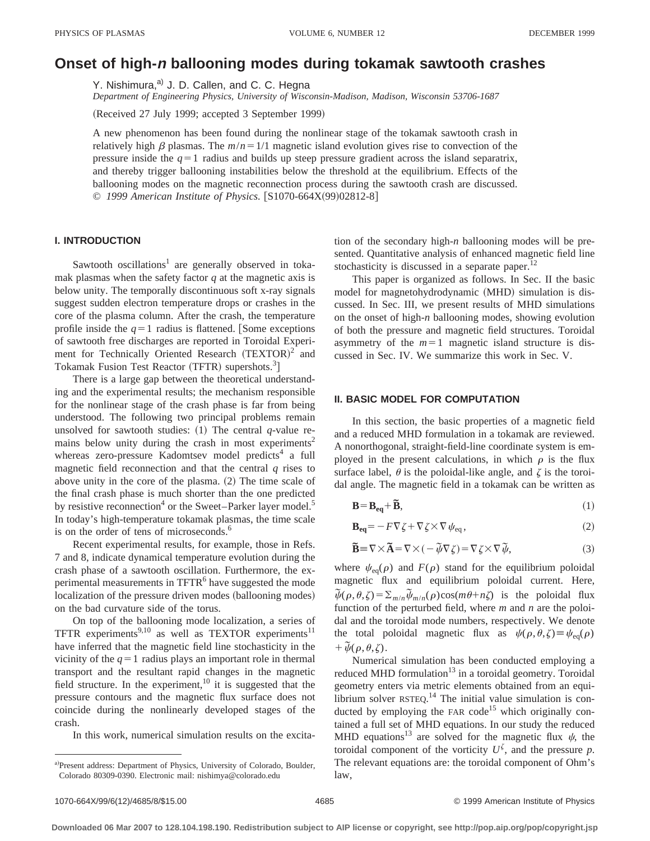# **Onset of high-<sup>n</sup> ballooning modes during tokamak sawtooth crashes**

Y. Nishimura,<sup>a)</sup> J. D. Callen, and C. C. Hegna

*Department of Engineering Physics, University of Wisconsin-Madison, Madison, Wisconsin 53706-1687*

(Received 27 July 1999; accepted 3 September 1999)

A new phenomenon has been found during the nonlinear stage of the tokamak sawtooth crash in relatively high  $\beta$  plasmas. The  $m/n = 1/1$  magnetic island evolution gives rise to convection of the pressure inside the  $q=1$  radius and builds up steep pressure gradient across the island separatrix, and thereby trigger ballooning instabilities below the threshold at the equilibrium. Effects of the ballooning modes on the magnetic reconnection process during the sawtooth crash are discussed. © 1999 American Institute of Physics. [S1070-664X(99)02812-8]

## **I. INTRODUCTION**

Sawtooth oscillations<sup>1</sup> are generally observed in tokamak plasmas when the safety factor  $q$  at the magnetic axis is below unity. The temporally discontinuous soft x-ray signals suggest sudden electron temperature drops or crashes in the core of the plasma column. After the crash, the temperature profile inside the  $q=1$  radius is flattened. [Some exceptions of sawtooth free discharges are reported in Toroidal Experiment for Technically Oriented Research  $(T\text{EXTOR})^2$  and Tokamak Fusion Test Reactor (TFTR) supershots.<sup>3</sup>]

There is a large gap between the theoretical understanding and the experimental results; the mechanism responsible for the nonlinear stage of the crash phase is far from being understood. The following two principal problems remain unsolved for sawtooth studies:  $(1)$  The central *q*-value remains below unity during the crash in most experiments<sup>2</sup> whereas zero-pressure Kadomtsev model predicts<sup>4</sup> a full magnetic field reconnection and that the central *q* rises to above unity in the core of the plasma.  $(2)$  The time scale of the final crash phase is much shorter than the one predicted by resistive reconnection<sup>4</sup> or the Sweet–Parker layer model.<sup>5</sup> In today's high-temperature tokamak plasmas, the time scale is on the order of tens of microseconds.<sup>6</sup>

Recent experimental results, for example, those in Refs. 7 and 8, indicate dynamical temperature evolution during the crash phase of a sawtooth oscillation. Furthermore, the experimental measurements in TFTR<sup>6</sup> have suggested the mode localization of the pressure driven modes (ballooning modes) on the bad curvature side of the torus.

On top of the ballooning mode localization, a series of TFTR experiments<sup>9,10</sup> as well as TEXTOR experiments<sup>11</sup> have inferred that the magnetic field line stochasticity in the vicinity of the  $q=1$  radius plays an important role in thermal transport and the resultant rapid changes in the magnetic field structure. In the experiment, $10$  it is suggested that the pressure contours and the magnetic flux surface does not coincide during the nonlinearly developed stages of the crash.

In this work, numerical simulation results on the excita-

tion of the secondary high-*n* ballooning modes will be presented. Quantitative analysis of enhanced magnetic field line stochasticity is discussed in a separate paper. $^{12}$ 

This paper is organized as follows. In Sec. II the basic model for magnetohydrodynamic (MHD) simulation is discussed. In Sec. III, we present results of MHD simulations on the onset of high-*n* ballooning modes, showing evolution of both the pressure and magnetic field structures. Toroidal asymmetry of the  $m=1$  magnetic island structure is discussed in Sec. IV. We summarize this work in Sec. V.

## **II. BASIC MODEL FOR COMPUTATION**

In this section, the basic properties of a magnetic field and a reduced MHD formulation in a tokamak are reviewed. A nonorthogonal, straight-field-line coordinate system is employed in the present calculations, in which  $\rho$  is the flux surface label,  $\theta$  is the poloidal-like angle, and  $\zeta$  is the toroidal angle. The magnetic field in a tokamak can be written as

$$
\mathbf{B} = \mathbf{B}_{eq} + \widetilde{\mathbf{B}},\tag{1}
$$

$$
\mathbf{B}_{\text{eq}} = -F \nabla \zeta + \nabla \zeta \times \nabla \psi_{\text{eq}},\tag{2}
$$

$$
\widetilde{\mathbf{B}} = \nabla \times \widetilde{\mathbf{A}} = \nabla \times (-\widetilde{\psi}\nabla \zeta) = \nabla \zeta \times \nabla \widetilde{\psi},\tag{3}
$$

where  $\psi_{eq}(\rho)$  and  $F(\rho)$  stand for the equilibrium poloidal magnetic flux and equilibrium poloidal current. Here,  $\tilde{\psi}(\rho,\theta,\zeta) = \sum_{m/n} \tilde{\psi}_{m/n}(\rho) \cos(m\theta + n\zeta)$  is the poloidal flux function of the perturbed field, where *m* and *n* are the poloidal and the toroidal mode numbers, respectively. We denote the total poloidal magnetic flux as  $\psi(\rho,\theta,\zeta) \equiv \psi_{eq}(\rho)$  $+\tilde{\psi}(\rho,\theta,\zeta).$ 

Numerical simulation has been conducted employing a reduced MHD formulation<sup>13</sup> in a toroidal geometry. Toroidal geometry enters via metric elements obtained from an equilibrium solver  $RSTEQ$ .<sup>14</sup> The initial value simulation is conducted by employing the FAR code<sup>15</sup> which originally contained a full set of MHD equations. In our study the reduced MHD equations<sup>13</sup> are solved for the magnetic flux  $\psi$ , the toroidal component of the vorticity  $U^{\zeta}$ , and the pressure *p*. The relevant equations are: the toroidal component of Ohm's law,

a)Present address: Department of Physics, University of Colorado, Boulder, Colorado 80309-0390. Electronic mail: nishimya@colorado.edu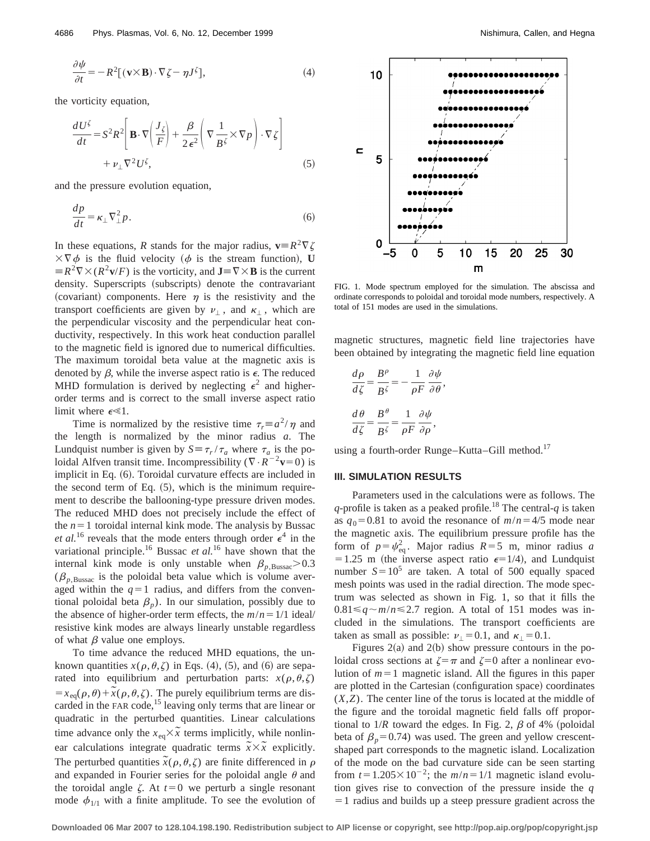$$
\frac{\partial \psi}{\partial t} = -R^2 [(\mathbf{v} \times \mathbf{B}) \cdot \nabla \zeta - \eta J^{\zeta}], \tag{4}
$$

the vorticity equation,

$$
\frac{dU^{\zeta}}{dt} = S^2 R^2 \left[ \mathbf{B} \cdot \nabla \left( \frac{J_{\zeta}}{F} \right) + \frac{\beta}{2 \epsilon^2} \left( \nabla \frac{1}{B^{\zeta}} \times \nabla p \right) \cdot \nabla \zeta \right] + \nu_{\perp} \nabla^2 U^{\zeta},\tag{5}
$$

and the pressure evolution equation,

$$
\frac{dp}{dt} = \kappa_{\perp} \nabla_{\perp}^2 p. \tag{6}
$$

In these equations, *R* stands for the major radius,  $\mathbf{v} = R^2 \nabla \zeta$  $\times \nabla \phi$  is the fluid velocity ( $\phi$  is the stream function), **U**  $\equiv R^2 \nabla \times (R^2 \mathbf{v}/F)$  is the vorticity, and  $\mathbf{J} = \nabla \times \mathbf{B}$  is the current density. Superscripts (subscripts) denote the contravariant (covariant) components. Here  $\eta$  is the resistivity and the transport coefficients are given by  $v_{\perp}$ , and  $\kappa_{\perp}$ , which are the perpendicular viscosity and the perpendicular heat conductivity, respectively. In this work heat conduction parallel to the magnetic field is ignored due to numerical difficulties. The maximum toroidal beta value at the magnetic axis is denoted by  $\beta$ , while the inverse aspect ratio is  $\epsilon$ . The reduced MHD formulation is derived by neglecting  $\epsilon^2$  and higherorder terms and is correct to the small inverse aspect ratio limit where  $\epsilon \ll 1$ .

Time is normalized by the resistive time  $\tau_r \equiv a^2/\eta$  and the length is normalized by the minor radius *a*. The Lundquist number is given by  $S = \tau_r / \tau_a$  where  $\tau_a$  is the poloidal Alfven transit time. Incompressibility ( $\nabla \cdot R^{-2}v=0$ ) is implicit in Eq.  $(6)$ . Toroidal curvature effects are included in the second term of Eq.  $(5)$ , which is the minimum requirement to describe the ballooning-type pressure driven modes. The reduced MHD does not precisely include the effect of the  $n=1$  toroidal internal kink mode. The analysis by Bussac *et al.*<sup>16</sup> reveals that the mode enters through order  $\epsilon^4$  in the variational principle.<sup>16</sup> Bussac *et al.*<sup>16</sup> have shown that the internal kink mode is only unstable when  $\beta_{p,\text{Bussac}}$  > 0.3  $(\beta_{p,\text{Bussac}})$  is the poloidal beta value which is volume averaged within the  $q=1$  radius, and differs from the conventional poloidal beta  $\beta_p$ ). In our simulation, possibly due to the absence of higher-order term effects, the  $m/n = 1/1$  ideal/ resistive kink modes are always linearly unstable regardless of what  $\beta$  value one employs.

To time advance the reduced MHD equations, the unknown quantities  $x(\rho,\theta,\zeta)$  in Eqs. (4), (5), and (6) are separated into equilibrium and perturbation parts:  $x(\rho,\theta,\zeta)$  $= x_{eq}(\rho,\theta) + \tilde{x}(\rho,\theta,\zeta)$ . The purely equilibrium terms are discarded in the FAR code,<sup>15</sup> leaving only terms that are linear or quadratic in the perturbed quantities. Linear calculations time advance only the  $x_{eq} \times \bar{x}$  terms implicitly, while nonlinear calculations integrate quadratic terms  $\tilde{x} \times \tilde{x}$  explicitly. The perturbed quantities  $\tilde{x}(\rho,\theta,\zeta)$  are finite differenced in  $\rho$ and expanded in Fourier series for the poloidal angle  $\theta$  and the toroidal angle  $\zeta$ . At  $t=0$  we perturb a single resonant mode  $\phi_{1/1}$  with a finite amplitude. To see the evolution of



FIG. 1. Mode spectrum employed for the simulation. The abscissa and ordinate corresponds to poloidal and toroidal mode numbers, respectively. A total of 151 modes are used in the simulations.

magnetic structures, magnetic field line trajectories have been obtained by integrating the magnetic field line equation

$$
\frac{d\rho}{d\zeta} = \frac{B^{\rho}}{B^{\zeta}} = -\frac{1}{\rho F} \frac{\partial \psi}{\partial \theta}
$$

$$
\frac{d\theta}{d\zeta} = \frac{B^{\theta}}{B^{\zeta}} = \frac{1}{\rho F} \frac{\partial \psi}{\partial \rho},
$$

using a fourth-order Runge–Kutta–Gill method.<sup>17</sup>

,

## **III. SIMULATION RESULTS**

Parameters used in the calculations were as follows. The *q*-profile is taken as a peaked profile.<sup>18</sup> The central- $q$  is taken as  $q_0$ =0.81 to avoid the resonance of  $m/n=4/5$  mode near the magnetic axis. The equilibrium pressure profile has the form of  $p = \psi_{\text{eq}}^2$ . Major radius  $R = 5$  m, minor radius *a* = 1.25 m (the inverse aspect ratio  $\epsilon$ =1/4), and Lundquist number  $S = 10^5$  are taken. A total of 500 equally spaced mesh points was used in the radial direction. The mode spectrum was selected as shown in Fig. 1, so that it fills the  $0.81 \leq q \sim m/n \leq 2.7$  region. A total of 151 modes was included in the simulations. The transport coefficients are taken as small as possible:  $\nu_1 = 0.1$ , and  $\kappa_1 = 0.1$ .

Figures  $2(a)$  and  $2(b)$  show pressure contours in the poloidal cross sections at  $\zeta = \pi$  and  $\zeta = 0$  after a nonlinear evolution of  $m=1$  magnetic island. All the figures in this paper are plotted in the Cartesian (configuration space) coordinates (*X*,*Z*). The center line of the torus is located at the middle of the figure and the toroidal magnetic field falls off proportional to  $1/R$  toward the edges. In Fig. 2,  $\beta$  of 4% (poloidal beta of  $\beta_p$ =0.74) was used. The green and yellow crescentshaped part corresponds to the magnetic island. Localization of the mode on the bad curvature side can be seen starting from  $t=1.205\times10^{-2}$ ; the  $m/n=1/1$  magnetic island evolution gives rise to convection of the pressure inside the *q*  $=$  1 radius and builds up a steep pressure gradient across the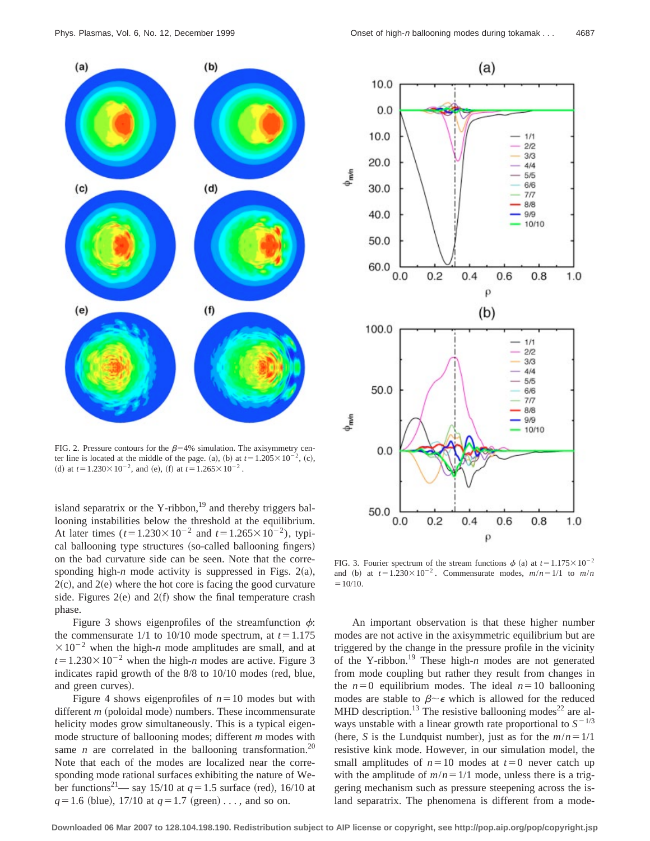

FIG. 2. Pressure contours for the  $\beta$ =4% simulation. The axisymmetry center line is located at the middle of the page. (a), (b) at  $t=1.205\times10^{-2}$ , (c), (d) at  $t = 1.230 \times 10^{-2}$ , and (e), (f) at  $t = 1.265 \times 10^{-2}$ .

island separatrix or the Y-ribbon, $19$  and thereby triggers ballooning instabilities below the threshold at the equilibrium. At later times  $(t=1.230\times10^{-2}$  and  $t=1.265\times10^{-2}$ ), typical ballooning type structures (so-called ballooning fingers) on the bad curvature side can be seen. Note that the corresponding high- $n$  mode activity is suppressed in Figs. 2(a),  $2(c)$ , and  $2(e)$  where the hot core is facing the good curvature side. Figures  $2(e)$  and  $2(f)$  show the final temperature crash phase.

Figure 3 shows eigenprofiles of the streamfunction  $\phi$ : the commensurate  $1/1$  to  $10/10$  mode spectrum, at  $t=1.175$  $\times 10^{-2}$  when the high-*n* mode amplitudes are small, and at  $t=1.230\times10^{-2}$  when the high-*n* modes are active. Figure 3 indicates rapid growth of the  $8/8$  to  $10/10$  modes (red, blue, and green curves).

Figure 4 shows eigenprofiles of  $n=10$  modes but with different  $m$  (poloidal mode) numbers. These incommensurate helicity modes grow simultaneously. This is a typical eigenmode structure of ballooning modes; different *m* modes with same *n* are correlated in the ballooning transformation.<sup>20</sup> Note that each of the modes are localized near the corresponding mode rational surfaces exhibiting the nature of Weber functions<sup>21</sup>— say 15/10 at  $q=1.5$  surface (red), 16/10 at  $q=1.6$  (blue), 17/10 at  $q=1.7$  (green) . . . , and so on.



FIG. 3. Fourier spectrum of the stream functions  $\phi$  (a) at  $t=1.175\times10^{-2}$ and (b) at  $t=1.230\times10^{-2}$ . Commensurate modes,  $m/n=1/1$  to  $m/n$  $=10/10.$ 

An important observation is that these higher number modes are not active in the axisymmetric equilibrium but are triggered by the change in the pressure profile in the vicinity of the Y-ribbon.19 These high-*n* modes are not generated from mode coupling but rather they result from changes in the  $n=0$  equilibrium modes. The ideal  $n=10$  ballooning modes are stable to  $\beta \sim \epsilon$  which is allowed for the reduced MHD description.<sup>13</sup> The resistive ballooning modes<sup>22</sup> are always unstable with a linear growth rate proportional to  $S^{-1/3}$ (here, *S* is the Lundquist number), just as for the  $m/n = 1/1$ resistive kink mode. However, in our simulation model, the small amplitudes of  $n=10$  modes at  $t=0$  never catch up with the amplitude of  $m/n = 1/1$  mode, unless there is a triggering mechanism such as pressure steepening across the island separatrix. The phenomena is different from a mode-

**Downloaded 06 Mar 2007 to 128.104.198.190. Redistribution subject to AIP license or copyright, see http://pop.aip.org/pop/copyright.jsp**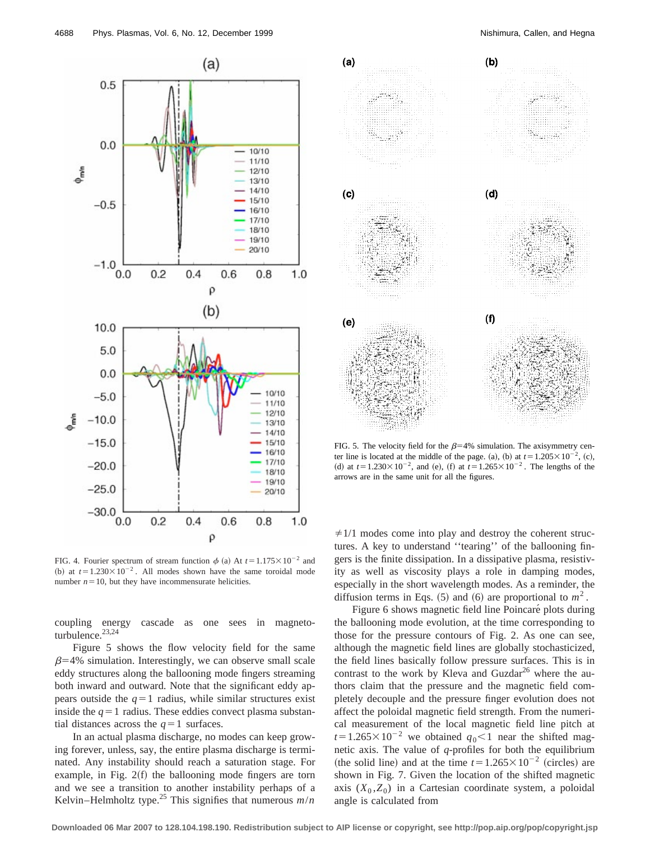

FIG. 4. Fourier spectrum of stream function  $\phi$  (a) At  $t=1.175\times10^{-2}$  and (b) at  $t=1.230\times10^{-2}$ . All modes shown have the same toroidal mode number  $n=10$ , but they have incommensurate helicities.

coupling energy cascade as one sees in magnetoturbulence.<sup>23,24</sup>

Figure 5 shows the flow velocity field for the same  $\beta$ =4% simulation. Interestingly, we can observe small scale eddy structures along the ballooning mode fingers streaming both inward and outward. Note that the significant eddy appears outside the  $q=1$  radius, while similar structures exist inside the  $q=1$  radius. These eddies convect plasma substantial distances across the  $q=1$  surfaces.

In an actual plasma discharge, no modes can keep growing forever, unless, say, the entire plasma discharge is terminated. Any instability should reach a saturation stage. For example, in Fig.  $2(f)$  the ballooning mode fingers are torn and we see a transition to another instability perhaps of a Kelvin–Helmholtz type.<sup>25</sup> This signifies that numerous  $m/n$ 



FIG. 5. The velocity field for the  $\beta$ =4% simulation. The axisymmetry center line is located at the middle of the page. (a), (b) at  $t=1.205\times10^{-2}$ , (c), (d) at  $t=1.230\times10^{-2}$ , and (e), (f) at  $t=1.265\times10^{-2}$ . The lengths of the arrows are in the same unit for all the figures.

 $\neq$ 1/1 modes come into play and destroy the coherent structures. A key to understand ''tearing'' of the ballooning fingers is the finite dissipation. In a dissipative plasma, resistivity as well as viscosity plays a role in damping modes, especially in the short wavelength modes. As a reminder, the diffusion terms in Eqs.  $(5)$  and  $(6)$  are proportional to  $m<sup>2</sup>$ .

Figure 6 shows magnetic field line Poincaré plots during the ballooning mode evolution, at the time corresponding to those for the pressure contours of Fig. 2. As one can see, although the magnetic field lines are globally stochasticized, the field lines basically follow pressure surfaces. This is in contrast to the work by Kleva and Guzdar<sup>26</sup> where the authors claim that the pressure and the magnetic field completely decouple and the pressure finger evolution does not affect the poloidal magnetic field strength. From the numerical measurement of the local magnetic field line pitch at  $t=1.265\times10^{-2}$  we obtained  $q_0<1$  near the shifted magnetic axis. The value of *q*-profiles for both the equilibrium (the solid line) and at the time  $t=1.265\times10^{-2}$  (circles) are shown in Fig. 7. Given the location of the shifted magnetic axis  $(X_0, Z_0)$  in a Cartesian coordinate system, a poloidal angle is calculated from

**Downloaded 06 Mar 2007 to 128.104.198.190. Redistribution subject to AIP license or copyright, see http://pop.aip.org/pop/copyright.jsp**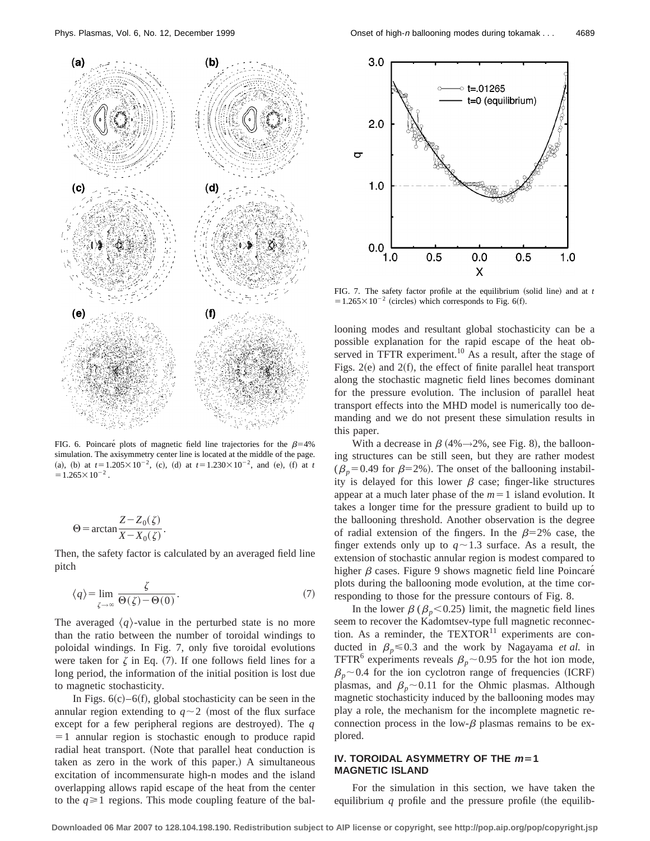

FIG. 6. Poincaré plots of magnetic field line trajectories for the  $\beta$ =4% simulation. The axisymmetry center line is located at the middle of the page. (a), (b) at  $t=1.205\times10^{-2}$ , (c), (d) at  $t=1.230\times10^{-2}$ , and (e), (f) at *t*  $=1.265\times10^{-2}$ .

$$
\Theta = \arctan \frac{Z - Z_0(\zeta)}{X - X_0(\zeta)}.
$$

Then, the safety factor is calculated by an averaged field line pitch

$$
\langle q \rangle = \lim_{\zeta \to \infty} \frac{\zeta}{\Theta(\zeta) - \Theta(0)}.
$$
 (7)

The averaged  $\langle q \rangle$ -value in the perturbed state is no more than the ratio between the number of toroidal windings to poloidal windings. In Fig. 7, only five toroidal evolutions were taken for  $\zeta$  in Eq. (7). If one follows field lines for a long period, the information of the initial position is lost due to magnetic stochasticity.

In Figs.  $6(c)$ –6(f), global stochasticity can be seen in the annular region extending to  $q \sim 2$  (most of the flux surface except for a few peripheral regions are destroyed). The  $q$  $=1$  annular region is stochastic enough to produce rapid radial heat transport. (Note that parallel heat conduction is taken as zero in the work of this paper.) A simultaneous excitation of incommensurate high-n modes and the island overlapping allows rapid escape of the heat from the center to the  $q \ge 1$  regions. This mode coupling feature of the bal-



FIG. 7. The safety factor profile at the equilibrium (solid line) and at  $t$  $=1.265\times10^{-2}$  (circles) which corresponds to Fig. 6(f).

looning modes and resultant global stochasticity can be a possible explanation for the rapid escape of the heat observed in TFTR experiment.<sup>10</sup> As a result, after the stage of Figs.  $2(e)$  and  $2(f)$ , the effect of finite parallel heat transport along the stochastic magnetic field lines becomes dominant for the pressure evolution. The inclusion of parallel heat transport effects into the MHD model is numerically too demanding and we do not present these simulation results in this paper.

With a decrease in  $\beta$  (4% $\rightarrow$ 2%, see Fig. 8), the ballooning structures can be still seen, but they are rather modest ( $\beta_p$ =0.49 for  $\beta$ =2%). The onset of the ballooning instability is delayed for this lower  $\beta$  case; finger-like structures appear at a much later phase of the  $m=1$  island evolution. It takes a longer time for the pressure gradient to build up to the ballooning threshold. Another observation is the degree of radial extension of the fingers. In the  $\beta$ =2% case, the finger extends only up to  $q \sim 1.3$  surface. As a result, the extension of stochastic annular region is modest compared to higher  $\beta$  cases. Figure 9 shows magnetic field line Poincaré plots during the ballooning mode evolution, at the time corresponding to those for the pressure contours of Fig. 8.

In the lower  $\beta$  ( $\beta_p$ <0.25) limit, the magnetic field lines seem to recover the Kadomtsev-type full magnetic reconnection. As a reminder, the  $text{TEXTOR}^{11}$  experiments are conducted in  $\beta_p \leq 0.3$  and the work by Nagayama *et al.* in TFTR<sup>6</sup> experiments reveals  $\beta_p$  ~ 0.95 for the hot ion mode,  $\beta_p$ ~0.4 for the ion cyclotron range of frequencies (ICRF) plasmas, and  $\beta_p \sim 0.11$  for the Ohmic plasmas. Although magnetic stochasticity induced by the ballooning modes may play a role, the mechanism for the incomplete magnetic reconnection process in the low- $\beta$  plasmas remains to be explored.

# **IV. TOROIDAL ASYMMETRY OF THE**  $m=1$ **MAGNETIC ISLAND**

For the simulation in this section, we have taken the equilibrium  $q$  profile and the pressure profile (the equilib-

**Downloaded 06 Mar 2007 to 128.104.198.190. Redistribution subject to AIP license or copyright, see http://pop.aip.org/pop/copyright.jsp**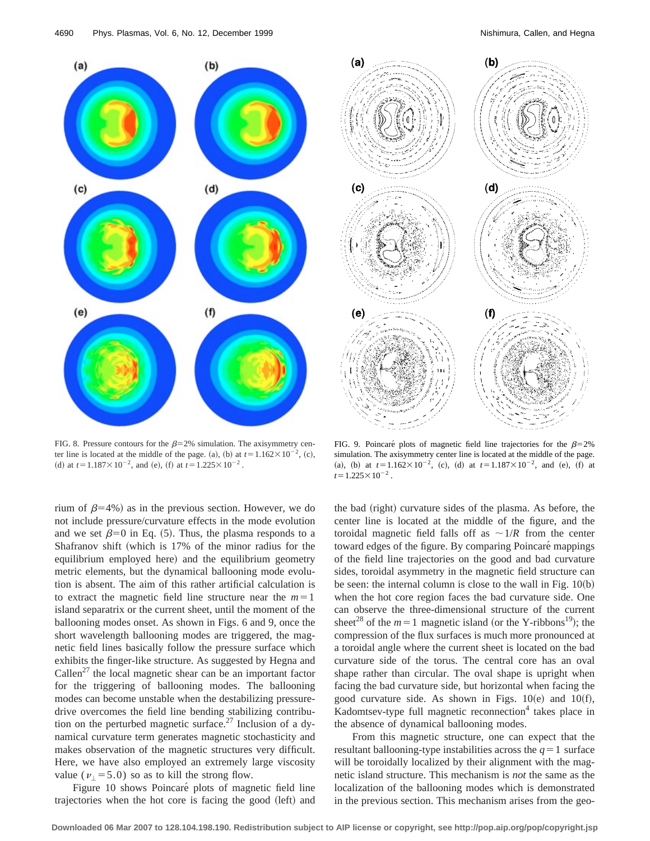



FIG. 8. Pressure contours for the  $\beta$ =2% simulation. The axisymmetry center line is located at the middle of the page. (a), (b) at  $t=1.162\times10^{-2}$ , (c), (d) at  $t=1.187\times10^{-2}$ , and (e), (f) at  $t=1.225\times10^{-2}$ .

rium of  $\beta$ =4%) as in the previous section. However, we do not include pressure/curvature effects in the mode evolution and we set  $\beta=0$  in Eq. (5). Thus, the plasma responds to a Shafranov shift (which is  $17\%$  of the minor radius for the equilibrium employed here) and the equilibrium geometry metric elements, but the dynamical ballooning mode evolution is absent. The aim of this rather artificial calculation is to extract the magnetic field line structure near the  $m=1$ island separatrix or the current sheet, until the moment of the ballooning modes onset. As shown in Figs. 6 and 9, once the short wavelength ballooning modes are triggered, the magnetic field lines basically follow the pressure surface which exhibits the finger-like structure. As suggested by Hegna and Callen<sup>27</sup> the local magnetic shear can be an important factor for the triggering of ballooning modes. The ballooning modes can become unstable when the destabilizing pressuredrive overcomes the field line bending stabilizing contribution on the perturbed magnetic surface.<sup>27</sup> Inclusion of a dynamical curvature term generates magnetic stochasticity and makes observation of the magnetic structures very difficult. Here, we have also employed an extremely large viscosity value ( $v_1$  = 5.0) so as to kill the strong flow.

Figure 10 shows Poincaré plots of magnetic field line trajectories when the hot core is facing the good (left) and

FIG. 9. Poincaré plots of magnetic field line trajectories for the  $\beta=2\%$ simulation. The axisymmetry center line is located at the middle of the page. (a), (b) at  $t=1.162\times10^{-2}$ , (c), (d) at  $t=1.187\times10^{-2}$ , and (e), (f) at  $t=1.225\times10^{-2}$ .

the bad (right) curvature sides of the plasma. As before, the center line is located at the middle of the figure, and the toroidal magnetic field falls off as  $\sim 1/R$  from the center toward edges of the figure. By comparing Poincaré mappings of the field line trajectories on the good and bad curvature sides, toroidal asymmetry in the magnetic field structure can be seen: the internal column is close to the wall in Fig.  $10(b)$ when the hot core region faces the bad curvature side. One can observe the three-dimensional structure of the current sheet<sup>28</sup> of the  $m=1$  magnetic island (or the Y-ribbons<sup>19</sup>); the compression of the flux surfaces is much more pronounced at a toroidal angle where the current sheet is located on the bad curvature side of the torus. The central core has an oval shape rather than circular. The oval shape is upright when facing the bad curvature side, but horizontal when facing the good curvature side. As shown in Figs.  $10(e)$  and  $10(f)$ , Kadomtsev-type full magnetic reconnection<sup>4</sup> takes place in the absence of dynamical ballooning modes.

From this magnetic structure, one can expect that the resultant ballooning-type instabilities across the  $q=1$  surface will be toroidally localized by their alignment with the magnetic island structure. This mechanism is *not* the same as the localization of the ballooning modes which is demonstrated in the previous section. This mechanism arises from the geo-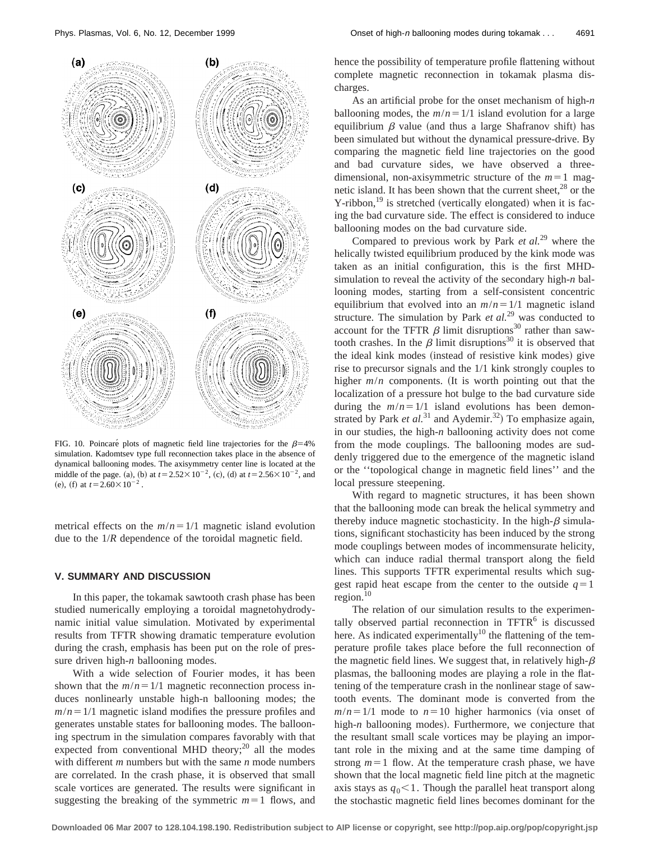

FIG. 10. Poincaré plots of magnetic field line trajectories for the  $\beta$ =4% simulation. Kadomtsev type full reconnection takes place in the absence of dynamical ballooning modes. The axisymmetry center line is located at the middle of the page. (a), (b) at  $t=2.52\times10^{-2}$ , (c), (d) at  $t=2.56\times10^{-2}$ , and (e), (f) at  $t = 2.60 \times 10^{-2}$ .

metrical effects on the  $m/n = 1/1$  magnetic island evolution due to the 1/*R* dependence of the toroidal magnetic field.

## **V. SUMMARY AND DISCUSSION**

In this paper, the tokamak sawtooth crash phase has been studied numerically employing a toroidal magnetohydrodynamic initial value simulation. Motivated by experimental results from TFTR showing dramatic temperature evolution during the crash, emphasis has been put on the role of pressure driven high-*n* ballooning modes.

With a wide selection of Fourier modes, it has been shown that the  $m/n = 1/1$  magnetic reconnection process induces nonlinearly unstable high-n ballooning modes; the  $m/n = 1/1$  magnetic island modifies the pressure profiles and generates unstable states for ballooning modes. The ballooning spectrum in the simulation compares favorably with that expected from conventional MHD theory; $^{20}$  all the modes with different *m* numbers but with the same *n* mode numbers are correlated. In the crash phase, it is observed that small scale vortices are generated. The results were significant in suggesting the breaking of the symmetric  $m=1$  flows, and hence the possibility of temperature profile flattening without complete magnetic reconnection in tokamak plasma discharges.

As an artificial probe for the onset mechanism of high-*n* ballooning modes, the  $m/n = 1/1$  island evolution for a large equilibrium  $\beta$  value (and thus a large Shafranov shift) has been simulated but without the dynamical pressure-drive. By comparing the magnetic field line trajectories on the good and bad curvature sides, we have observed a threedimensional, non-axisymmetric structure of the  $m=1$  magnetic island. It has been shown that the current sheet, $^{28}$  or the Y-ribbon, $^{19}$  is stretched (vertically elongated) when it is facing the bad curvature side. The effect is considered to induce ballooning modes on the bad curvature side.

Compared to previous work by Park *et al.*<sup>29</sup> where the helically twisted equilibrium produced by the kink mode was taken as an initial configuration, this is the first MHDsimulation to reveal the activity of the secondary high-*n* ballooning modes, starting from a self-consistent concentric equilibrium that evolved into an  $m/n = 1/1$  magnetic island structure. The simulation by Park *et al.*<sup>29</sup> was conducted to account for the TFTR  $\beta$  limit disruptions<sup>30</sup> rather than sawtooth crashes. In the  $\beta$  limit disruptions<sup>30</sup> it is observed that the ideal kink modes (instead of resistive kink modes) give rise to precursor signals and the 1/1 kink strongly couples to higher  $m/n$  components. (It is worth pointing out that the localization of a pressure hot bulge to the bad curvature side during the  $m/n=1/1$  island evolutions has been demonstrated by Park  $et$   $al$ .<sup>31</sup> and Aydemir.<sup>32</sup>) To emphasize again, in our studies, the high-*n* ballooning activity does not come from the mode couplings. The ballooning modes are suddenly triggered due to the emergence of the magnetic island or the ''topological change in magnetic field lines'' and the local pressure steepening.

With regard to magnetic structures, it has been shown that the ballooning mode can break the helical symmetry and thereby induce magnetic stochasticity. In the high- $\beta$  simulations, significant stochasticity has been induced by the strong mode couplings between modes of incommensurate helicity, which can induce radial thermal transport along the field lines. This supports TFTR experimental results which suggest rapid heat escape from the center to the outside  $q=1$ region. $10$ 

The relation of our simulation results to the experimentally observed partial reconnection in  $TFTR<sup>6</sup>$  is discussed here. As indicated experimentally<sup>10</sup> the flattening of the temperature profile takes place before the full reconnection of the magnetic field lines. We suggest that, in relatively high- $\beta$ plasmas, the ballooning modes are playing a role in the flattening of the temperature crash in the nonlinear stage of sawtooth events. The dominant mode is converted from the  $m/n = 1/1$  mode to  $n = 10$  higher harmonics (via onset of high- $n$  ballooning modes). Furthermore, we conjecture that the resultant small scale vortices may be playing an important role in the mixing and at the same time damping of strong  $m=1$  flow. At the temperature crash phase, we have shown that the local magnetic field line pitch at the magnetic axis stays as  $q_0$ <1. Though the parallel heat transport along the stochastic magnetic field lines becomes dominant for the